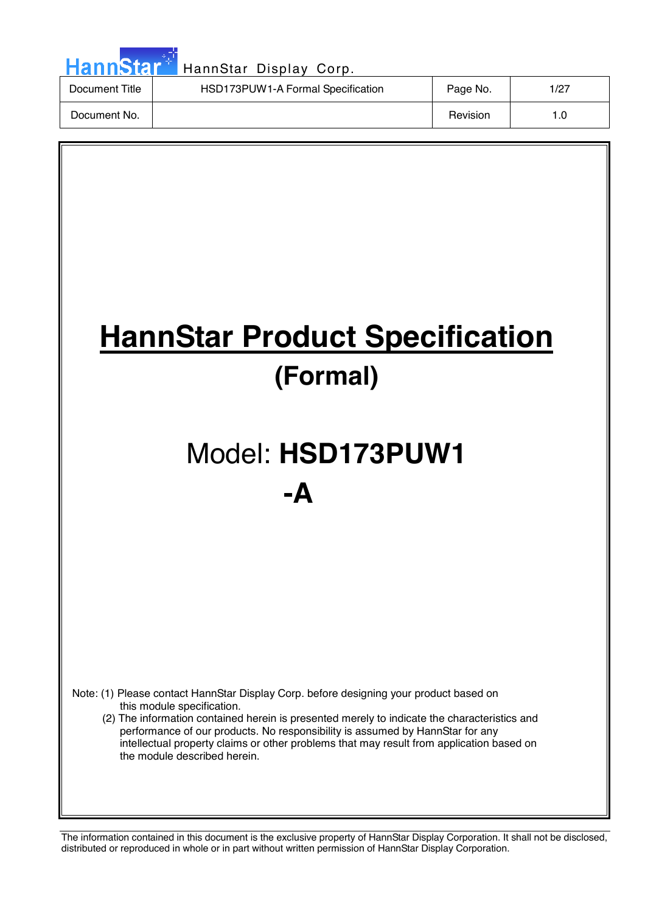| HannStar <sup>+</sup> | HannStar Display Corp.            |          |      |
|-----------------------|-----------------------------------|----------|------|
| Document Title        | HSD173PUW1-A Formal Specification | Page No. | 1/27 |
| Document No.          |                                   | Revision | 1.0  |

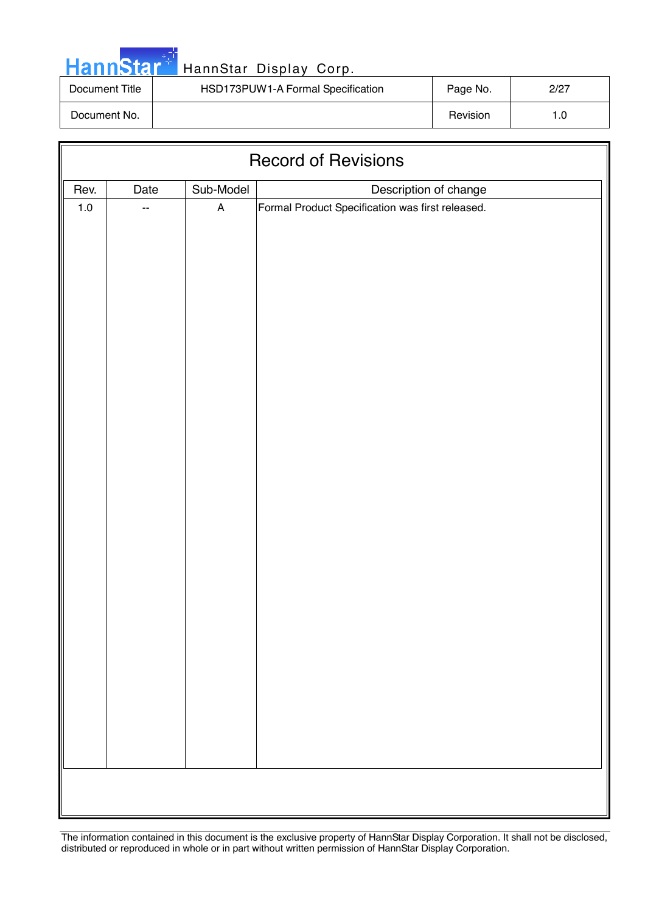|  | <b>HannStar</b> |  |
|--|-----------------|--|

| Document Title | HSD173PUW1-A Formal Specification | Page No. | 2/27 |
|----------------|-----------------------------------|----------|------|
| Document No.   |                                   | Revision |      |

| <b>Record of Revisions</b>                         |    |                           |                                                  |  |  |  |  |
|----------------------------------------------------|----|---------------------------|--------------------------------------------------|--|--|--|--|
| Sub-Model<br>Description of change<br>Rev.<br>Date |    |                           |                                                  |  |  |  |  |
| $1.0\,$                                            | -- | $\boldsymbol{\mathsf{A}}$ | Formal Product Specification was first released. |  |  |  |  |
|                                                    |    |                           |                                                  |  |  |  |  |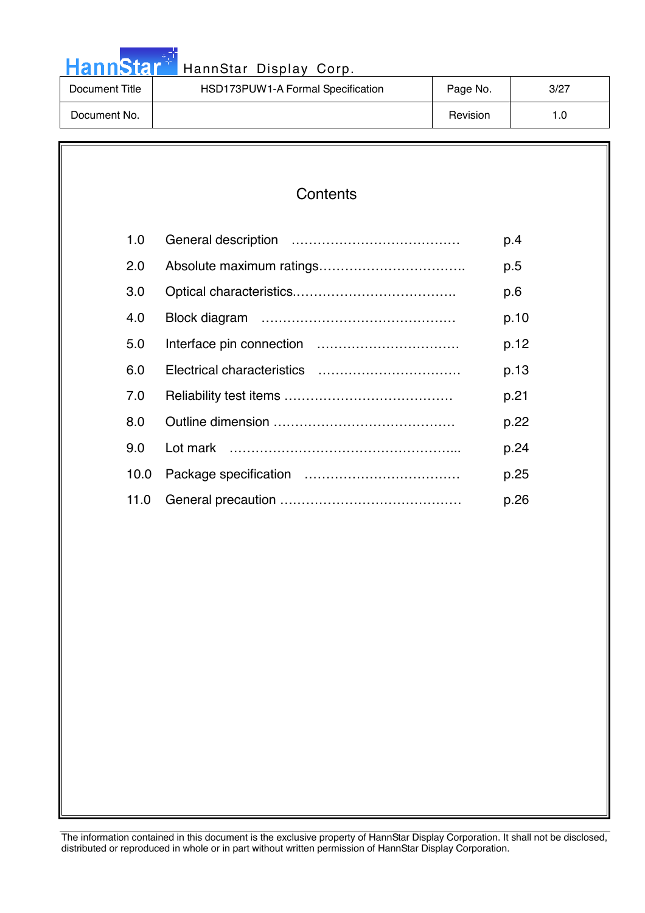|  |  | <b>HannStar</b> |  |
|--|--|-----------------|--|

| Document Title | HSD173PUW1-A Formal Specification | Page No. | 3/27 |
|----------------|-----------------------------------|----------|------|
| Document No.   |                                   | Revision | 0. ا |

### **Contents**

| 1.0  | p.4  |
|------|------|
| 2.0  | p.5  |
| 3.0  | p.6  |
| 4.0  | p.10 |
| 5.0  | p.12 |
| 6.0  | p.13 |
| 7.0  | p.21 |
| 8.0  | p.22 |
| 9.0  | p.24 |
| 10.0 | p.25 |
| 11.0 | p.26 |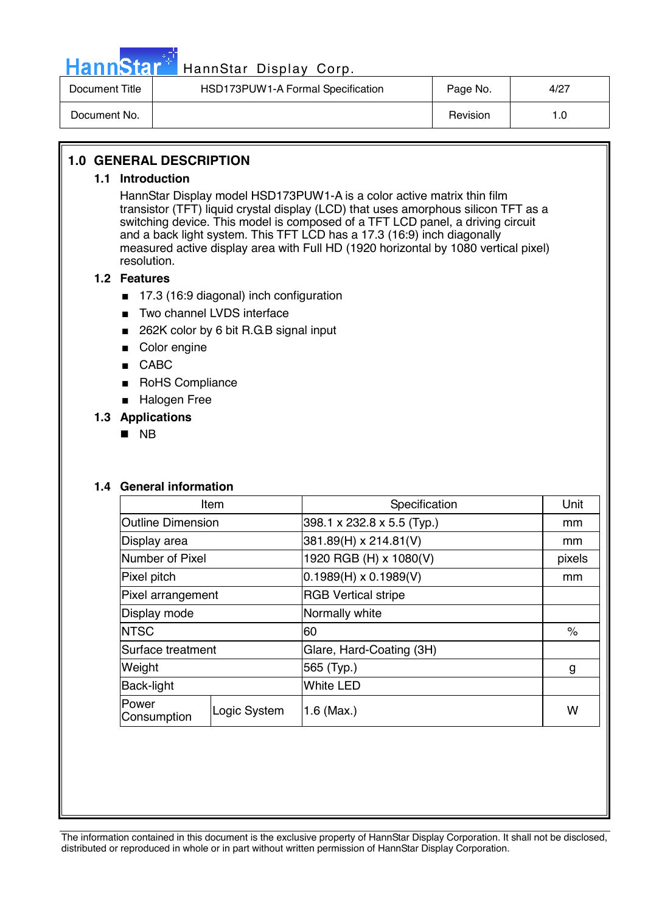

# HannStar<sup>47</sup> HannStar Display Corp.

| Document Title | HSD173PUW1-A Formal Specification | Page No. | 4/27 |
|----------------|-----------------------------------|----------|------|
| Document No.   |                                   | Revision | 0. ا |

#### **1.0 GENERAL DESCRIPTION**

#### **1.1 Introduction**

HannStar Display model HSD173PUW1-A is a color active matrix thin film transistor (TFT) liquid crystal display (LCD) that uses amorphous silicon TFT as a switching device. This model is composed of a TFT LCD panel, a driving circuit and a back light system. This TFT LCD has a 17.3 (16:9) inch diagonally measured active display area with Full HD (1920 horizontal by 1080 vertical pixel) resolution.

#### **1.2 Features**

- 17.3 (16:9 diagonal) inch configuration
- Two channel LVDS interface
- 262K color by 6 bit R.G.B signal input
- Color engine
- CABC
- RoHS Compliance
- Halogen Free

#### **1.3 Applications**

**NB** 

#### **1.4 General information**

| Item                     |                              | Specification                | Unit   |
|--------------------------|------------------------------|------------------------------|--------|
| <b>Outline Dimension</b> |                              | 398.1 x 232.8 x 5.5 (Typ.)   | mm     |
| Display area             |                              | 381.89(H) x 214.81(V)        | mm     |
| Number of Pixel          |                              | 1920 RGB (H) x 1080(V)       | pixels |
| Pixel pitch              |                              | $0.1989(H) \times 0.1989(V)$ | mm     |
| Pixel arrangement        |                              | <b>RGB Vertical stripe</b>   |        |
| Display mode             |                              | Normally white               |        |
| <b>NTSC</b>              |                              | 60                           | $\%$   |
| Surface treatment        |                              | Glare, Hard-Coating (3H)     |        |
| Weight                   |                              | 565 (Typ.)                   | g      |
| Back-light               |                              | <b>White LED</b>             |        |
| Power<br>Consumption     | Logic System<br>$1.6$ (Max.) |                              | W      |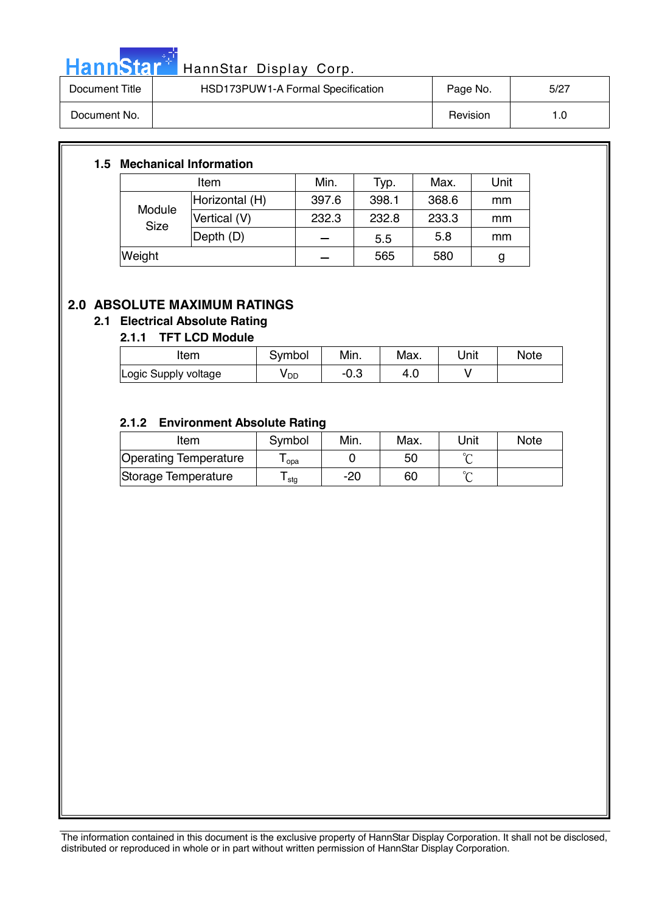

# HannStar<sup>t HannStar</sup> Display Corp.

| Document Title | HSD173PUW1-A Formal Specification | Page No. | 5/27 |
|----------------|-----------------------------------|----------|------|
| Document No.   |                                   | Revision | l .C |

#### **1.5 Mechanical Information**

|                       | Item           | Min.  | Typ.  | Max.  | Unit |
|-----------------------|----------------|-------|-------|-------|------|
| Module<br><b>Size</b> | Horizontal (H) | 397.6 | 398.1 | 368.6 | mm   |
|                       | Vertical (V)   | 232.3 | 232.8 | 233.3 | mm   |
|                       | Depth (D)      |       | 5.5   | 5.8   | mm   |
| Weight                |                |       | 565   | 580   | g    |

### **2.0 ABSOLUTE MAXIMUM RATINGS**

#### **2.1 Electrical Absolute Rating**

#### **2.1.1 TFT LCD Module**

| Item                 | Symbol          | Min. | Max. | Unit | <b>Note</b> |
|----------------------|-----------------|------|------|------|-------------|
| Logic Supply voltage | y <sub>DD</sub> | −∪.ം | 4.U  |      |             |

#### **2.1.2 Environment Absolute Rating**

| Item                  | Symbol           | Min. | Max. | Unit   | <b>Note</b> |
|-----------------------|------------------|------|------|--------|-------------|
| Operating Temperature | opa              |      | 50   |        |             |
| Storage Temperature   | <sup>l</sup> stg | -20  | 60   | $\sim$ |             |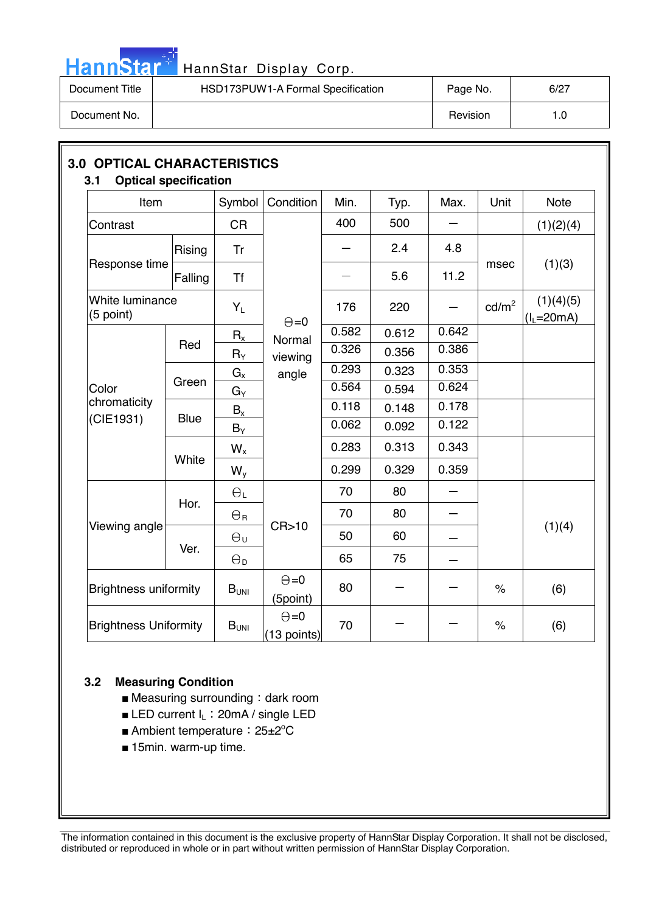

# HannStar<sup>#</sup> HannStar Display Corp.

| Document Title | HSD173PUW1-A Formal Specification | Page No. | 6/27 |
|----------------|-----------------------------------|----------|------|
| Document No.   |                                   | Revision | 1.0  |

| Item                         |             | Symbol           | Condition                     | Min.  | Typ.  | Max.                     | Unit            | <b>Note</b>               |
|------------------------------|-------------|------------------|-------------------------------|-------|-------|--------------------------|-----------------|---------------------------|
| Contrast                     |             | <b>CR</b>        |                               | 400   | 500   |                          |                 | (1)(2)(4)                 |
|                              | Rising      | Tr               |                               |       | 2.4   | 4.8                      |                 |                           |
| Response time                | Falling     | <b>Tf</b>        |                               |       | 5.6   | 11.2                     | msec            | (1)(3)                    |
| White luminance<br>(5 point) |             | $Y_L$            | $\Theta = 0$                  | 176   | 220   |                          | $\text{cd/m}^2$ | (1)(4)(5)<br>$(I_L=20mA)$ |
|                              |             | $R_{x}$          | Normal                        | 0.582 | 0.612 | 0.642                    |                 |                           |
|                              | Red         | $R_Y$            | viewing                       | 0.326 | 0.356 | 0.386                    |                 |                           |
|                              |             | $G_{x}$<br>angle |                               | 0.293 | 0.323 | 0.353                    |                 |                           |
| Color                        | Green       | $G_Y$            |                               | 0.564 | 0.594 | 0.624                    |                 |                           |
| chromaticity                 |             | $B_x$            |                               | 0.118 | 0.148 | 0.178                    |                 |                           |
| (CIE1931)                    | <b>Blue</b> | $B_Y$            |                               | 0.062 | 0.092 | 0.122                    |                 |                           |
|                              |             | $W_{x}$          |                               | 0.283 | 0.313 | 0.343                    |                 |                           |
|                              | White       | $W_{y}$          |                               | 0.299 | 0.329 | 0.359                    |                 |                           |
|                              |             | $\Theta_L$       |                               | 70    | 80    |                          |                 |                           |
|                              | Hor.        | $\Theta_{\rm R}$ |                               | 70    | 80    | $\overline{\phantom{0}}$ |                 |                           |
| Viewing angle                |             | $\Theta_{U}$     | CR>10                         | 50    | 60    |                          |                 | (1)(4)                    |
|                              | Ver.        | $\Theta_{\rm D}$ |                               | 65    | 75    |                          |                 |                           |
| <b>Brightness uniformity</b> |             | $B_{UNI}$        | $\Theta = 0$<br>(5point)      | 80    |       |                          | $\%$            | (6)                       |
| <b>Brightness Uniformity</b> |             | B <sub>UNI</sub> | $\Theta = 0$<br>$(13$ points) | 70    |       |                          | $\%$            | (6)                       |

#### **3.2 Measuring Condition**

- $\blacksquare$  Measuring surrounding : dark room
- **ELED current**  $I_L$ **: 20mA / single LED**
- Ambient temperature: 25±2<sup>°</sup>C
- 15min. warm-up time.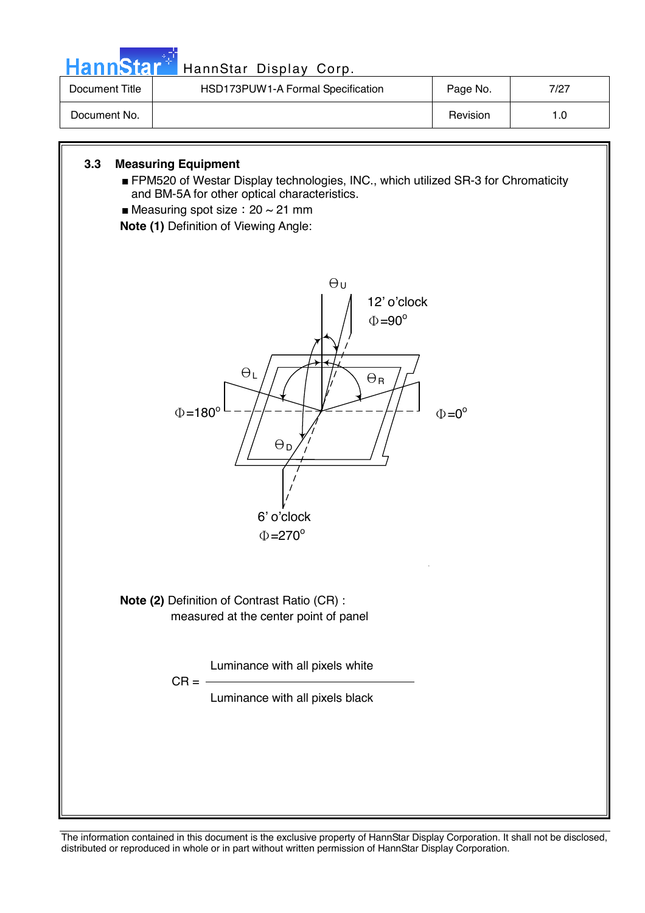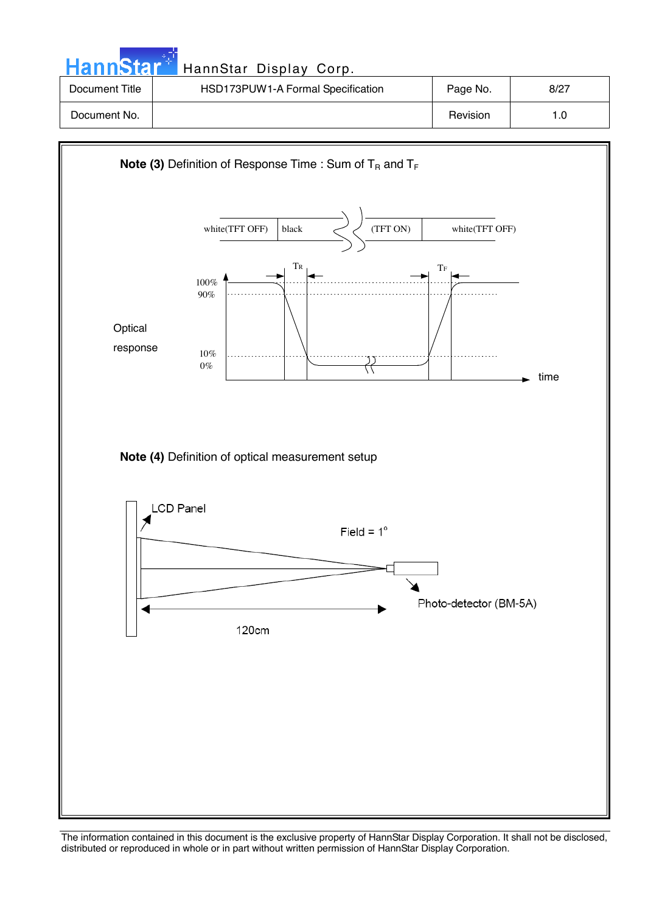| <b>HannStar</b> | HannStar Display Corp.            |          |      |
|-----------------|-----------------------------------|----------|------|
| Document Title  | HSD173PUW1-A Formal Specification | Page No. | 8/27 |
| Document No.    |                                   | Revision | 1.0  |

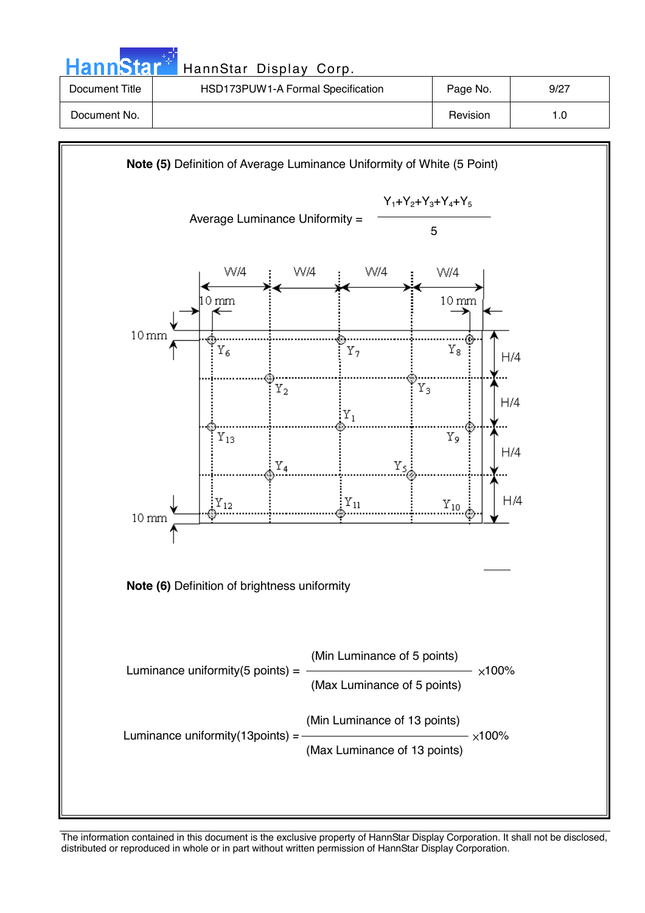| HannStar <sup>*</sup> | HannStar Display Corp.            |          |      |
|-----------------------|-----------------------------------|----------|------|
| Document Title        | HSD173PUW1-A Formal Specification | Page No. | 9/27 |
| Document No.          |                                   | Revision | 1.0  |
|                       |                                   |          |      |

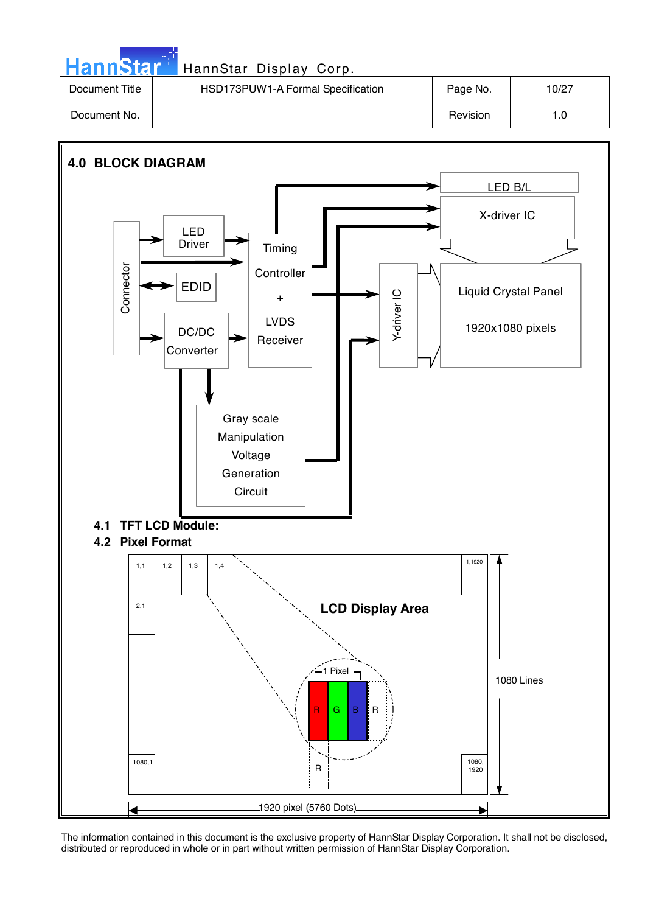| <b>HannStar</b> * | HannStar Display Corp.            |          |       |
|-------------------|-----------------------------------|----------|-------|
| Document Title    | HSD173PUW1-A Formal Specification | Page No. | 10/27 |
| Document No.      |                                   | Revision | 1.0   |

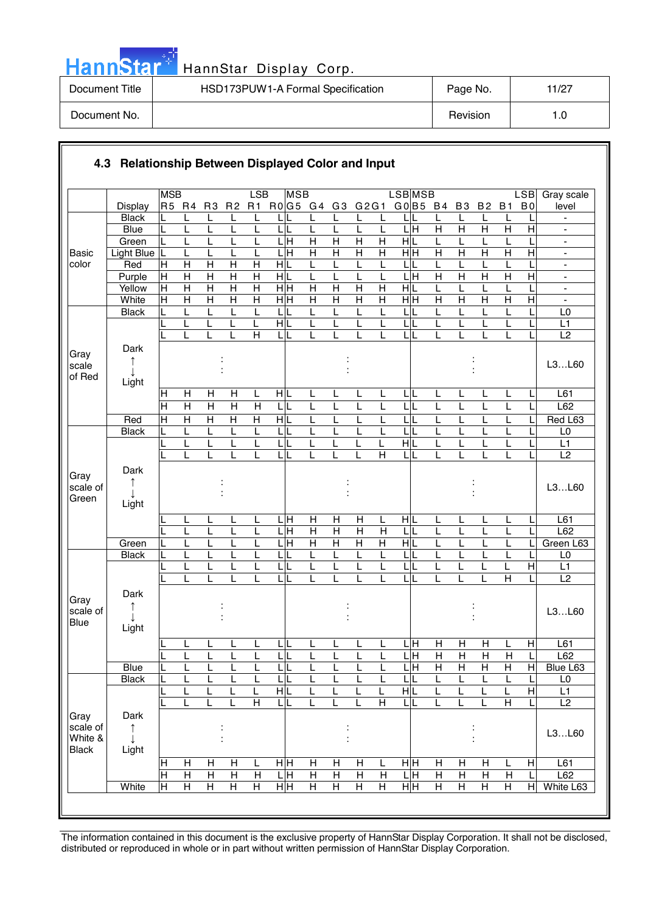|  | ann | Ы |  |
|--|-----|---|--|
|  |     |   |  |

| Document Title | HSD173PUW1-A Formal Specification | Page No. | 11/27 |
|----------------|-----------------------------------|----------|-------|
| Document No.   |                                   | Revision | 1.0   |

|                                             |                          | <b>MSB</b>              |                   |                         |                         | LSB                     | <b>MSB</b>                   |                         |                           |                |                         | <b>LSBMSB</b>         |                     |                   |                |                     |                | LSB            | Gray scale                                     |
|---------------------------------------------|--------------------------|-------------------------|-------------------|-------------------------|-------------------------|-------------------------|------------------------------|-------------------------|---------------------------|----------------|-------------------------|-----------------------|---------------------|-------------------|----------------|---------------------|----------------|----------------|------------------------------------------------|
|                                             | <b>Display</b>           | R5 R4                   |                   | R <sub>3</sub>          | R <sub>2</sub>          |                         | R1 R0 G5 G4                  |                         | G <sub>3</sub>            | G2G1           |                         | GO B5 B4              |                     |                   | B <sub>3</sub> | <b>B2</b>           | <b>B1</b>      | B <sub>0</sub> | level                                          |
|                                             | <b>Black</b>             |                         |                   | L                       | L                       | L                       |                              | L                       | L                         | L              | L                       | LIL                   |                     | L                 |                | L                   | L              |                | $\overline{\phantom{a}}$                       |
|                                             | <b>Blue</b>              | L                       | L                 | L                       | L                       | L                       | LIL                          | L                       | L                         | L              | L                       | L H                   | $\overline{H}$      | $\overline{H}$    |                | $\overline{H}$      | $\overline{H}$ | $\overline{H}$ |                                                |
|                                             | Green                    |                         | L                 | L                       |                         |                         | $\overline{\mathbf{H}}$      | $\overline{H}$          | $\overline{H}$            | $\overline{H}$ | $\overline{H}$          | H L                   | L                   | L                 |                | L                   |                |                | $\frac{1}{2}$                                  |
| <b>Basic</b><br>color                       | <b>Light Blue</b><br>Red | L<br>Н                  | L<br>$\mathsf{H}$ | L<br>$\mathsf{H}$       | $\mathsf{H}$            | L<br>Н                  | ГI<br>Н<br>HIL               | $\overline{H}$<br>L     | $\overline{H}$<br>L       | Η              | Η<br>L                  | $\overline{H}$ H<br>L | H                   | $\mathsf{H}$<br>L |                | $\overline{H}$<br>L | $\overline{H}$ | $\overline{H}$ | $\blacksquare$                                 |
|                                             | Purple                   | H                       | $\overline{H}$    | $\overline{H}$          | $\overline{H}$          | $\overline{H}$          | HL                           | L                       |                           | L<br>L         | L                       | $\frac{1}{\text{H}}$  | L<br>$\overline{H}$ | $\overline{H}$    |                | $\overline{H}$      | $\overline{H}$ | $\overline{H}$ | $\blacksquare$<br>$\qquad \qquad \blacksquare$ |
|                                             | Yellow                   | $\mathsf{H}$            | $\overline{H}$    | $\overline{\mathsf{H}}$ | $\overline{\mathsf{H}}$ | $\overline{H}$          | нŀн                          | $\overline{\mathsf{H}}$ | $\overline{H}$            | $\overline{H}$ | $\overline{H}$          | H L                   | L                   |                   |                | L                   |                |                | $\overline{\phantom{a}}$                       |
|                                             | White                    | $\overline{\mathsf{H}}$ | $\overline{H}$    | $\overline{H}$          | $\overline{H}$          | $\overline{\mathsf{H}}$ | $\frac{}{\mathbf H}$         | $\overline{H}$          | $\overline{H}$            | $\overline{H}$ | $\overline{H}$          | $\overline{H}$ H      | $\overline{H}$      | $\overline{H}$    |                | $\overline{H}$      | $\overline{H}$ | $\overline{H}$ | ÷,                                             |
|                                             | <b>Black</b>             |                         |                   | L                       |                         | L                       | L                            | L                       |                           | L              | L                       | L                     |                     |                   |                | L                   |                |                | L <sub>0</sub>                                 |
|                                             |                          |                         | L                 | L                       | L                       | L                       | HL                           | L                       | L                         | L              | L                       | L                     | L                   | L                 |                | L                   | L              |                | L1                                             |
|                                             |                          |                         |                   |                         |                         | $\overline{H}$          | ЦL                           | L                       |                           | L              | L                       | LL                    |                     |                   |                | L                   | L              |                | L2                                             |
| Gray<br>scale<br>of Red                     | Dark<br>↑<br>T           |                         |                   |                         |                         |                         |                              |                         |                           |                |                         |                       |                     |                   |                |                     |                |                | L3L60                                          |
|                                             | Light                    |                         |                   |                         |                         |                         |                              |                         |                           |                |                         |                       |                     |                   |                |                     |                |                |                                                |
|                                             |                          | $\mathsf{H}$            | H                 | H                       | H                       | L                       | HL                           | L                       | L                         | L              | L                       | LL                    | L                   | L                 |                | L                   | L              |                | L <sub>61</sub>                                |
|                                             |                          | $\overline{\mathsf{H}}$ | $\overline{H}$    | $\overline{\mathsf{H}}$ | $\overline{\mathsf{H}}$ | $\overline{H}$          | LIL                          | L                       | L                         | L              | L                       | L<br>L                | L                   | L                 |                | L                   | L              |                | L62                                            |
|                                             | Red<br><b>Black</b>      | H                       | $\overline{H}$    | $\overline{H}$          | $\overline{H}$<br>L     | $\overline{H}$<br>L     | $\frac{1}{\sqrt{2}}$         | L                       |                           | L<br>L         | L<br>L                  | $\overline{L}$<br>LL  | L                   |                   |                | L                   | L              |                | Red L63<br>L <sub>0</sub>                      |
|                                             |                          | L                       | L<br>L            | L<br>L                  | L                       |                         | LIL<br>L<br>IL               | L<br>L                  |                           |                | L                       | $\overline{H}$        |                     |                   |                | L<br>L              | Ĺ              |                | L1                                             |
|                                             |                          |                         | L                 | L                       |                         | L                       | LL                           | L                       |                           |                | Η                       | L L                   | L                   | L                 |                | L                   | L              |                | L2                                             |
| Gray<br>scale of<br>Green                   | Dark<br>↑<br>Light       |                         |                   |                         |                         |                         |                              |                         |                           |                |                         |                       |                     |                   |                |                     |                |                | L3L60                                          |
|                                             |                          |                         | L                 | L                       |                         | L                       | LЩ                           | H                       | H                         | H              | L                       | HL                    | L                   | L                 |                | L                   | L              |                | L61                                            |
|                                             |                          |                         | L                 | L                       | L                       | L                       | LН                           | H                       | $\boldsymbol{\mathsf{H}}$ | $\mathsf{H}$   | H                       | L                     | L                   | L                 |                | L                   | L              |                | L62                                            |
|                                             | Green                    |                         |                   | L                       |                         |                         | $\overline{\mathbf{H}}$<br>L | $\overline{H}$          | $\overline{H}$            | $\overline{H}$ | $\overline{\mathsf{H}}$ | НL                    |                     |                   |                | L                   |                |                | Green L63                                      |
|                                             | <b>Black</b>             | L                       |                   | L                       |                         | L                       | LIL                          | L                       |                           | L              | L                       | LL                    | L                   |                   |                | L                   | L              |                | L <sub>0</sub>                                 |
|                                             |                          |                         | L                 | L                       | L<br>L                  |                         | L<br>IL                      | L                       | L                         | L              | L                       | LL                    | L                   |                   |                | L                   | L              | $\overline{H}$ | L1                                             |
|                                             |                          |                         | L                 | L                       |                         | L                       | τL                           | L                       | L                         | L              | L                       | LL                    | L                   | L                 |                | L                   | $\overline{H}$ |                | L2                                             |
| Gray<br>scale of<br><b>Blue</b>             | Dark<br>T<br>Light       |                         |                   |                         |                         |                         |                              |                         |                           |                |                         |                       |                     |                   |                |                     |                |                | L3L60                                          |
|                                             |                          |                         | ┕                 | <u>ь</u>                | щ                       |                         | τĮ                           | ь                       |                           | ட              | ┕                       | $\frac{\Gamma}{H}$    | $\overline{H}$      |                   | $\overline{H}$ | H                   |                | H              | L61                                            |
|                                             |                          | L                       | L                 | L                       | L                       | L                       | LIL                          | L                       | L                         | L              | L                       | ЦH                    | $\mathsf{H}$        |                   | H              | $\mathsf{H}$        | $\mathsf{H}$   | L              | L62                                            |
|                                             | <b>Blue</b>              | L                       | L                 | L                       | L                       | L                       | LIL                          | L                       |                           | L              | L                       | L H                   | Η                   | $\overline{H}$    |                | $\overline{H}$      | Н              | $\mathsf{H}$   | Blue L63                                       |
|                                             | <b>Black</b>             |                         |                   | L                       |                         |                         | LIL                          | L                       |                           | L              | L                       | LL                    |                     | L                 |                | L                   |                |                | L0                                             |
|                                             |                          |                         | L                 | L                       | L                       | L                       | $\frac{1}{\sqrt{2}}$         | L                       |                           | L              | L                       | НĿ                    | L                   |                   |                | L                   | L              | $\overline{H}$ | L1                                             |
|                                             |                          |                         | L                 | L                       | L                       | $\overline{\mathsf{H}}$ | τī                           | L                       |                           |                | $\overline{\mathsf{H}}$ | LL                    |                     |                   |                | L                   | $\overline{H}$ |                | $\overline{L2}$                                |
| Gray<br>scale of<br>White &<br><b>Black</b> | Dark<br>↑<br>Light       |                         |                   |                         |                         |                         |                              |                         |                           |                |                         |                       |                     |                   |                |                     |                |                | L3L60                                          |
|                                             |                          | Н                       | Н                 | H                       | н                       | L                       | нŀн                          | H                       | Н                         | H              | L                       | нŀн                   | Н                   |                   | H              | Н                   | L              | H              | L61                                            |
|                                             |                          | Н                       | $\overline{H}$    | $\overline{H}$          | $\overline{H}$          | $\overline{H}$          | 믘                            | $\overline{H}$          | $\overline{H}$            | $\overline{H}$ | $\overline{H}$          | 믘                     | $\overline{H}$      |                   | $\overline{H}$ | $\overline{H}$      | H              |                | L62                                            |
|                                             | White                    | $\overline{H}$          | H                 | $\overline{H}$          | $\overline{H}$          | $\overline{H}$          | H <sub>H</sub>               | $\overline{H}$          | $\overline{H}$            | Н              | $\overline{H}$          | H H                   | $\overline{H}$      | H                 |                | $\overline{H}$      | $\overline{H}$ | H              | White L63                                      |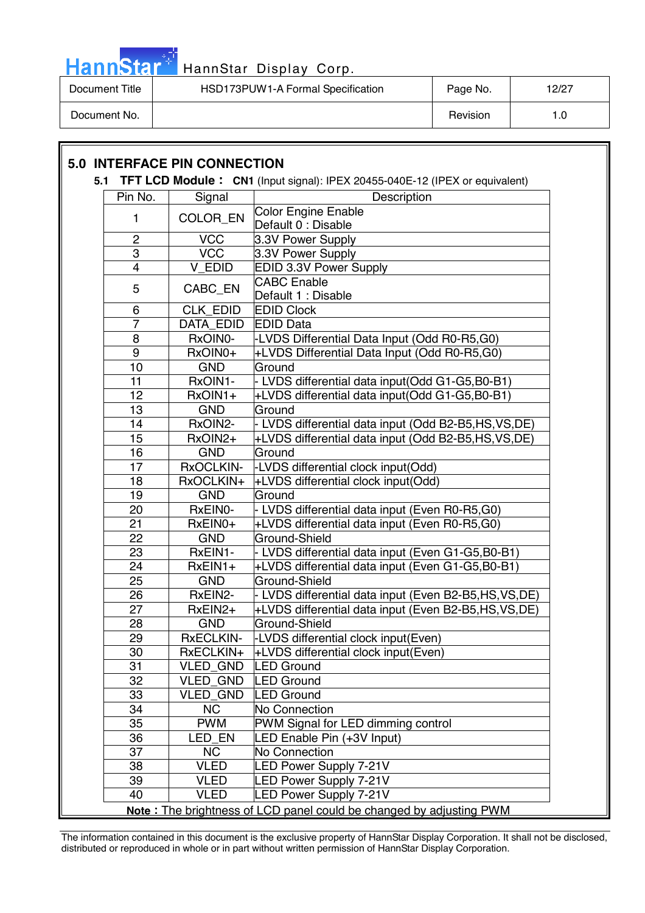

| Document Title | HSD173PUW1-A Formal Specification | Page No. | 12/27 |
|----------------|-----------------------------------|----------|-------|
| Document No.   |                                   | Revision |       |

|                         | <b>5.0 INTERFACE PIN CONNECTION</b> |                                                                                 |
|-------------------------|-------------------------------------|---------------------------------------------------------------------------------|
|                         |                                     | 5.1 TFT LCD Module: CN1 (Input signal): IPEX 20455-040E-12 (IPEX or equivalent) |
| Pin No.                 | Signal                              | Description                                                                     |
| $\mathbf{1}$            | COLOR_EN                            | <b>Color Engine Enable</b><br>Default 0 : Disable                               |
| 2                       | <b>VCC</b>                          | 3.3V Power Supply                                                               |
| 3                       | <b>VCC</b>                          | 3.3V Power Supply                                                               |
| $\overline{\mathbf{4}}$ | V EDID                              | EDID 3.3V Power Supply                                                          |
|                         |                                     | <b>CABC</b> Enable                                                              |
| 5                       | CABC_EN                             | Default 1 : Disable                                                             |
| 6                       | <b>CLK EDID</b>                     | <b>EDID Clock</b>                                                               |
| $\overline{7}$          | <b>DATA EDID</b>                    | <b>EDID Data</b>                                                                |
| 8                       | RxOIN0-                             | -LVDS Differential Data Input (Odd R0-R5,G0)                                    |
| 9                       | RxOIN0+                             | +LVDS Differential Data Input (Odd R0-R5.G0)                                    |
| 10                      | <b>GND</b>                          | Ground                                                                          |
| 11                      | RxOIN1-                             | - LVDS differential data input(Odd G1-G5,B0-B1)                                 |
| 12                      | RxOIN1+                             | +LVDS differential data input(Odd G1-G5,B0-B1)                                  |
| 13                      | <b>GND</b>                          | Ground                                                                          |
| 14                      | RxOIN2-                             | - LVDS differential data input (Odd B2-B5, HS, VS, DE)                          |
| 15                      | RxOIN2+                             | +LVDS differential data input (Odd B2-B5,HS, VS,DE)                             |
| 16                      | <b>GND</b>                          | Ground                                                                          |
| 17                      | <b>RxOCLKIN-</b>                    | -LVDS differential clock input(Odd)                                             |
| 18                      | RxOCLKIN+                           | +LVDS differential clock input(Odd)                                             |
| 19                      | <b>GND</b>                          | Ground                                                                          |
| 20                      | RxEIN0-                             | - LVDS differential data input (Even R0-R5,G0)                                  |
| 21                      | RxEIN0+                             | +LVDS differential data input (Even R0-R5,G0)                                   |
| 22                      | <b>GND</b>                          | Ground-Shield                                                                   |
| 23                      | RxEIN1-                             | - LVDS differential data input (Even G1-G5, B0-B1)                              |
| 24                      | RxEIN1+                             | +LVDS differential data input (Even G1-G5,B0-B1)                                |
| 25                      | <b>GND</b>                          | Ground-Shield                                                                   |
| 26                      | RxEIN2-                             | - LVDS differential data input (Even B2-B5, HS, VS, DE)                         |
| 27                      | RxEIN2+                             | +LVDS differential data input (Even B2-B5, HS, VS, DE)                          |
| 28                      | <b>GND</b>                          | <b>Ground-Shield</b>                                                            |
| 29                      | <b>RxECLKIN-</b>                    | LVDS differential clock input(Even)                                             |
| 30                      | RxECLKIN+                           | +LVDS differential clock input(Even)                                            |
| 31                      | <b>VLED GND</b>                     | <b>LED Ground</b>                                                               |
| 32                      | <b>VLED GND</b>                     | <b>LED Ground</b>                                                               |
| 33                      | VLED_GND                            | <b>LED Ground</b>                                                               |
| 34                      | <b>NC</b>                           | No Connection                                                                   |
| 35                      | <b>PWM</b>                          | PWM Signal for LED dimming control                                              |
| 36                      | LED_EN                              | LED Enable Pin (+3V Input)                                                      |
| 37                      | <b>NC</b>                           | No Connection                                                                   |
| 38                      | <b>VLED</b>                         | <b>LED Power Supply 7-21V</b>                                                   |
| 39                      | <b>VLED</b>                         | <b>ED Power Supply 7-21V</b>                                                    |
| 40                      | <b>VLED</b>                         | <b>LED Power Supply 7-21V</b>                                                   |
|                         |                                     | Note: The brightness of LCD panel could be changed by adjusting PWM             |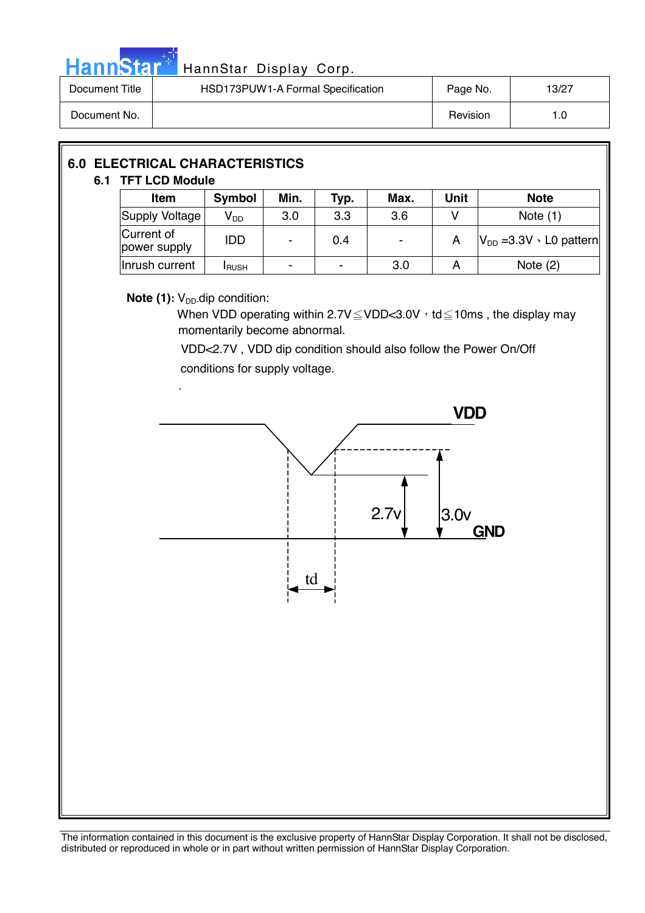

# Hann Star<sup>47</sup> HannStar Display Corp.

| Document Title | HSD173PUW1-A Formal Specification | Page No. | 13/27 |
|----------------|-----------------------------------|----------|-------|
| Document No.   |                                   | Revision | 1.0   |

## **6.0 ELECTRICAL CHARACTERISTICS 6.1 TFT LCD Module Item** Symbol Min. Typ. Max. Unit Note Supply Voltage  $V_{DD}$  3.0 3.3 3.6 V Note (1) Current of power supply IDD - 0.4 - A VDD =3.3V L0 pattern  $Inrusb current$   $I<sub>RUSH</sub>$  -  $I<sub>-</sub>$  3.0  $A$  Note (2)

#### **Note (1):** V<sub>DD</sub>-dip condition:

When VDD operating within  $2.7V \leq VDD < 3.0V$ , td  $\leq 10$ ms, the display may momentarily become abnormal.

 VDD<2.7V , VDD dip condition should also follow the Power On/Off conditions for supply voltage.

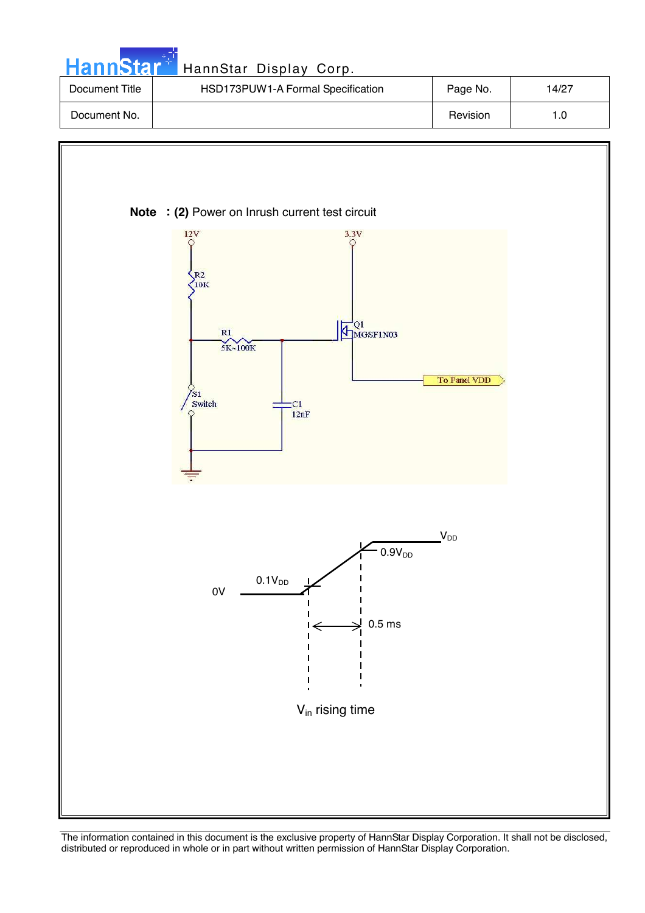| <b>HannStar</b> * | HannStar Display Corp.            |          |       |
|-------------------|-----------------------------------|----------|-------|
| Document Title    | HSD173PUW1-A Formal Specification | Page No. | 14/27 |
| Document No.      |                                   | Revision | 1.0   |

ТU,

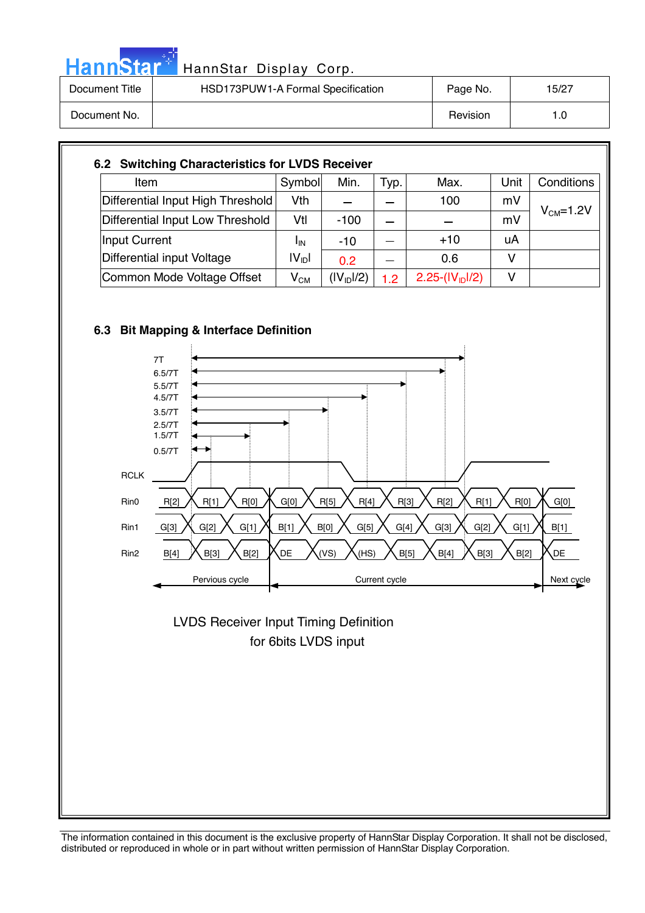| HannStar <sup>**</sup> | HannStar Display Corp.            |          |       |
|------------------------|-----------------------------------|----------|-------|
| Document Title         | HSD173PUW1-A Formal Specification | Page No. | 15/27 |
| Document No.           |                                   | Revision | 1.0   |

| Item                              | Symbol                     | Min.                   | Typ. | Max.             | Unit | Conditions |
|-----------------------------------|----------------------------|------------------------|------|------------------|------|------------|
| Differential Input High Threshold | Vth                        |                        |      | 100              | mV   |            |
| Differential Input Low Threshold  | Vtl                        | $-100$                 |      |                  | mV   | $VCM=1.2V$ |
| Input Current                     | <sup>I</sup> IN            | $-10$                  |      | $+10$            | uA   |            |
| Differential input Voltage        | $ V_{\text{ID}} $          | 0 <sub>2</sub>         |      | 0.6              | ٧    |            |
| Common Mode Voltage Offset        | $\mathsf{V}_{\mathsf{CM}}$ | (IV <sub>1D</sub> 1/2) | 1.2  | $2.25-(IV1D1/2)$ | v    |            |



مراجين



 for 6bits LVDS input LVDS Receiver Input Timing Definition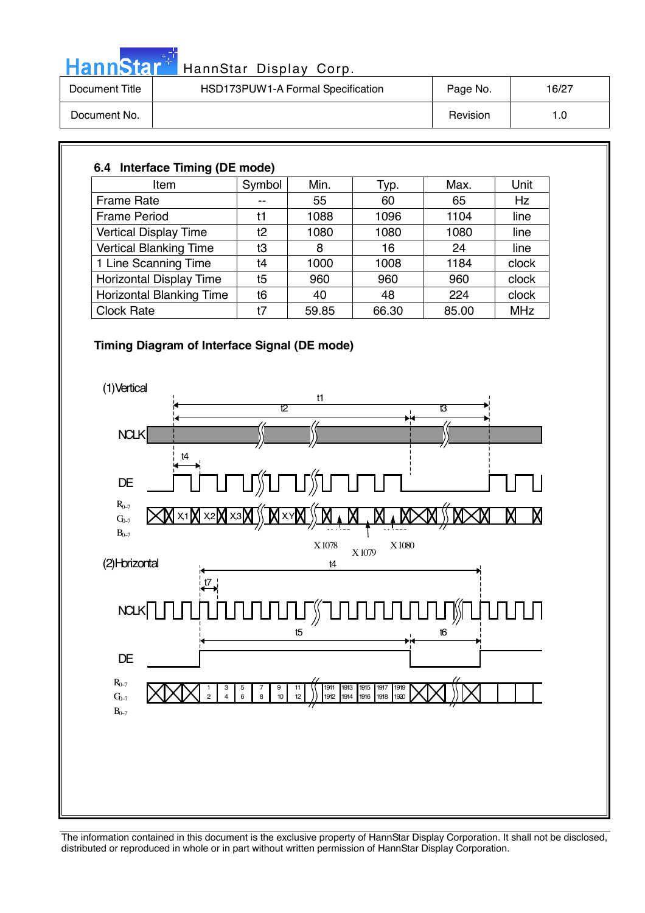|  |  | HannStar | - 7 |
|--|--|----------|-----|
|  |  |          |     |
|  |  |          |     |

| Document Title | HSD173PUW1-A Formal Specification | Page No. | 16/27 |
|----------------|-----------------------------------|----------|-------|
| Document No.   |                                   | Revision | 1.0   |

### **6.4 Interface Timing (DE mode)**

| Item                            | Symbol | Min.  | Typ.  | Max.  | Unit       |
|---------------------------------|--------|-------|-------|-------|------------|
| <b>Frame Rate</b>               | --     | 55    | 60    | 65    | <b>Hz</b>  |
| <b>Frame Period</b>             | t1     | 1088  | 1096  | 1104  | line       |
| <b>Vertical Display Time</b>    | t2     | 1080  | 1080  | 1080  | line       |
| <b>Vertical Blanking Time</b>   | t3     | 8     | 16    | 24    | line       |
| 1 Line Scanning Time            | t4     | 1000  | 1008  | 1184  | clock      |
| Horizontal Display Time         | t5     | 960   | 960   | 960   | clock      |
| <b>Horizontal Blanking Time</b> | t6     | 40    | 48    | 224   | clock      |
| <b>Clock Rate</b>               | t7     | 59.85 | 66.30 | 85.00 | <b>MHz</b> |

#### **Timing Diagram of Interface Signal (DE mode)**

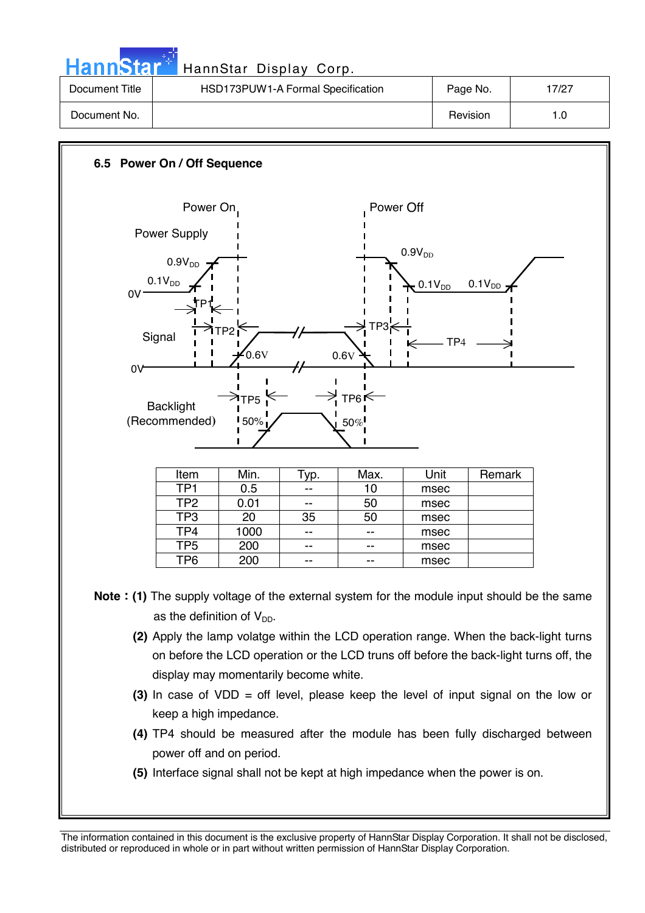| <b>HannStar</b> | HannStar Display Corp.            |          |       |
|-----------------|-----------------------------------|----------|-------|
| Document Title  | HSD173PUW1-A Formal Specification | Page No. | 17/27 |
| Document No.    |                                   | Revision | 1.0   |



The information contained in this document is the exclusive property of HannStar Display Corporation. It shall not be disclosed, distributed or reproduced in whole or in part without written permission of HannStar Display Corporation.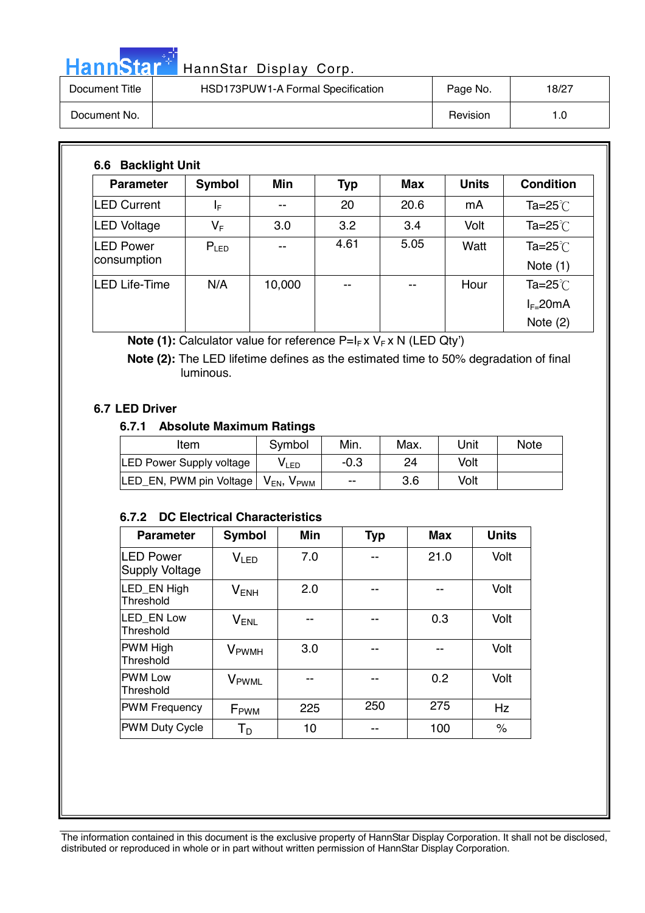# HannStar<sup>t HannStar</sup> Display Corp.

| Document Title | HSD173PUW1-A Formal Specification | Page No. | 18/27 |
|----------------|-----------------------------------|----------|-------|
| Document No.   |                                   | Revision | 1.0   |

| <b>Parameter</b>                | Symbol                  | <b>Min</b> | <b>Typ</b> | Max  | <b>Units</b> | <b>Condition</b>         |
|---------------------------------|-------------------------|------------|------------|------|--------------|--------------------------|
| <b>LED Current</b>              | ΙF                      | --         | 20         | 20.6 | mA           | Ta= $25^{\circ}$ C       |
| <b>LED Voltage</b>              | $\mathsf{V}_\mathsf{F}$ | 3.0        | 3.2        | 3.4  | Volt         | Ta=25 $°C$               |
| <b>LED Power</b><br>consumption | $P_{LED}$               | --         | 4.61       | 5.05 | Watt         | Ta=25 $°C$<br>Note $(1)$ |
| <b>LED Life-Time</b>            | N/A                     | 10,000     | $- -$      | --   | Hour         | Ta= $25^{\circ}$         |
|                                 |                         |            |            |      |              | $I_{F=}$ 20mA            |
|                                 |                         |            |            |      |              | Note $(2)$               |

**Note (1):** Calculator value for reference P=I<sub>F</sub> x V<sub>F</sub> x N (LED Qty')

 **Note (2):** The LED lifetime defines as the estimated time to 50% degradation of final luminous.

#### **6.7 LED Driver**

#### **6.7.1 Absolute Maximum Ratings**

| Item                            | Symbol               | Min.   | Max. | Unit | <b>Note</b> |
|---------------------------------|----------------------|--------|------|------|-------------|
| <b>LED Power Supply voltage</b> | V <sub>LED</sub>     | $-0.3$ | 24   | Volt |             |
| LED_EN, PWM pin Voltage         | $V_{EN}$ , $V_{PWM}$ | $- -$  | 3.6  | Volt |             |

#### **6.7.2 DC Electrical Characteristics**

| <b>Parameter</b>                          | <b>Symbol</b>            | Min | <b>Typ</b> | <b>Max</b> | <b>Units</b> |
|-------------------------------------------|--------------------------|-----|------------|------------|--------------|
| <b>LED Power</b><br><b>Supply Voltage</b> | V <sub>LED</sub>         | 7.0 |            | 21.0       | Volt         |
| LED EN High<br>Threshold                  | $V_{ENH}$                | 2.0 |            |            | Volt         |
| <b>LED EN Low</b><br>Threshold            | $V_{ENL}$                |     |            | 0.3        | Volt         |
| <b>PWM High</b><br>Threshold              | <b>V</b> <sub>PWMH</sub> | 3.0 | --         |            | Volt         |
| <b>PWM Low</b><br>Threshold               | V <sub>PWML</sub>        |     | --         | 0.2        | Volt         |
| <b>PWM Frequency</b>                      | F <sub>PWM</sub>         | 225 | 250        | 275        | Hz           |
| <b>PWM Duty Cycle</b>                     | $T_D$                    | 10  |            | 100        | $\%$         |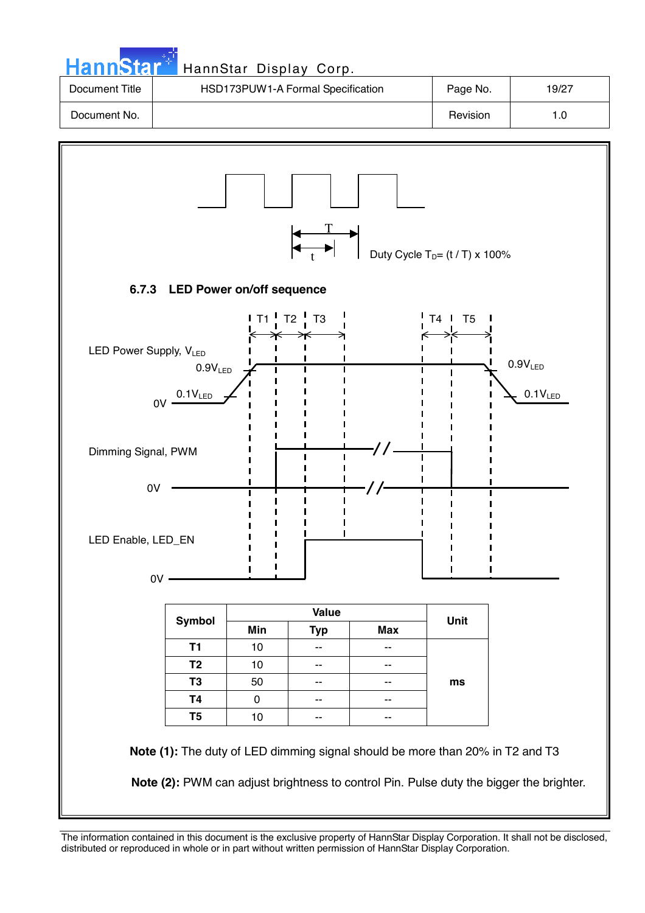| HannStar <sup>®</sup> | HannStar Display Corp.                             |                                       |       |
|-----------------------|----------------------------------------------------|---------------------------------------|-------|
| Document Title        | HSD173PUW1-A Formal Specification                  | Page No.                              | 19/27 |
| Document No.          |                                                    | Revision                              | 1.0   |
|                       |                                                    | Duty Cycle $T_D = (t/T) \times 100\%$ |       |
|                       | 6.7.3 LED Power on/off sequence                    |                                       |       |
|                       | $\frac{1}{2}$ T1 $\frac{1}{2}$ T2 $\frac{1}{2}$ T3 | $T4$ I<br>T5                          |       |

![](_page_18_Figure_1.jpeg)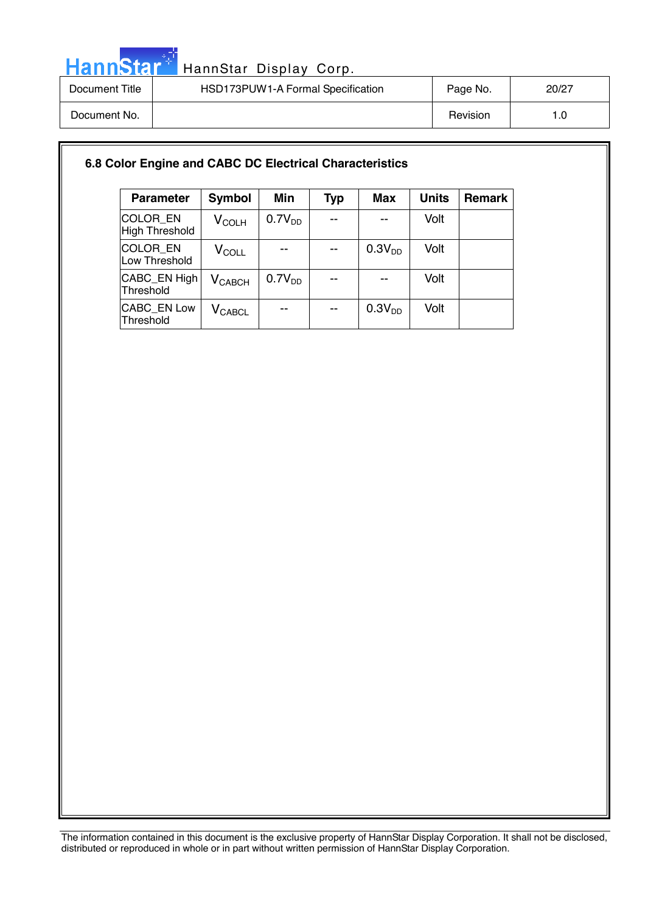![](_page_19_Picture_0.jpeg)

| Document Title | HSD173PUW1-A Formal Specification | Page No. | 20/27 |
|----------------|-----------------------------------|----------|-------|
| Document No.   |                                   | Revision |       |

#### **6.8 Color Engine and CABC DC Electrical Characteristics**

| <b>Parameter</b>                  | <b>Symbol</b>        | <b>Min</b>         | <b>Typ</b> | <b>Max</b>         | <b>Units</b> | <b>Remark</b> |
|-----------------------------------|----------------------|--------------------|------------|--------------------|--------------|---------------|
| <b>COLOR EN</b><br>High Threshold | $V_{\rm COLH}$       | 0.7V <sub>DD</sub> |            |                    | Volt         |               |
| COLOR_EN<br>Low Threshold         | $\rm V_{COLL}$       |                    |            | 0.3V <sub>DD</sub> | Volt         |               |
| CABC_EN High<br>Threshold         | $V_{\mathsf{CABCH}}$ | 0.7V <sub>DD</sub> |            |                    | Volt         |               |
| <b>CABC EN Low</b><br>Threshold   | $V_{\text{CABCL}}$   |                    | --         | 0.3V <sub>DD</sub> | Volt         |               |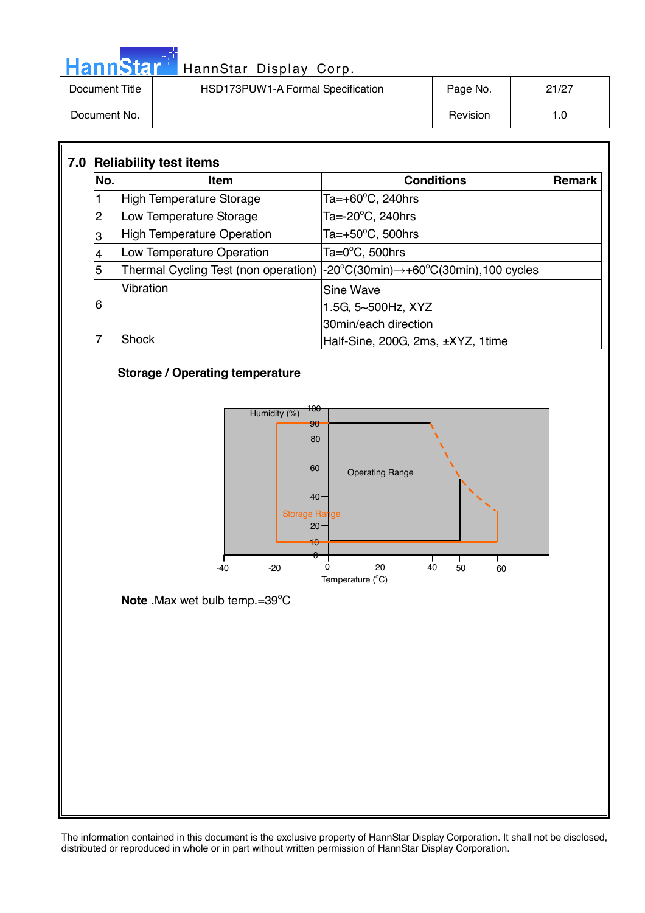|                | HannStar <sup>+</sup> HannStar Display Corp. |          |       |
|----------------|----------------------------------------------|----------|-------|
| Document Title | HSD173PUW1-A Formal Specification            | Page No. | 21/27 |
| Document No.   |                                              | Revision | 1.0   |

| No. | <b>Item</b>                          | <b>Conditions</b>                                                       | Remark |
|-----|--------------------------------------|-------------------------------------------------------------------------|--------|
|     | <b>High Temperature Storage</b>      | Ta=+60 $\mathrm{^{\circ}C}$ , 240hrs                                    |        |
| 2   | Low Temperature Storage              | Ta= $-20^{\circ}$ C, 240hrs                                             |        |
| 3   | <b>High Temperature Operation</b>    | Ta= $+50^{\circ}$ C, 500hrs                                             |        |
| 4   | Low Temperature Operation            | Ta= $0^{\circ}$ C, 500hrs                                               |        |
| 5   | Thermal Cycling Test (non operation) | $-20^{\circ}$ C(30min) $\rightarrow$ +60 $^{\circ}$ C(30min),100 cycles |        |
|     | Vibration                            | Sine Wave                                                               |        |
| 6   |                                      | 1.5G, 5~500Hz, XYZ                                                      |        |
|     |                                      | 30min/each direction                                                    |        |
|     | Shock                                | Half-Sine, 200G, 2ms, ±XYZ, 1time                                       |        |

### **Storage / Operating temperature**

دار<br>مارچ

![](_page_20_Figure_3.jpeg)

Note .Max wet bulb temp.=39°C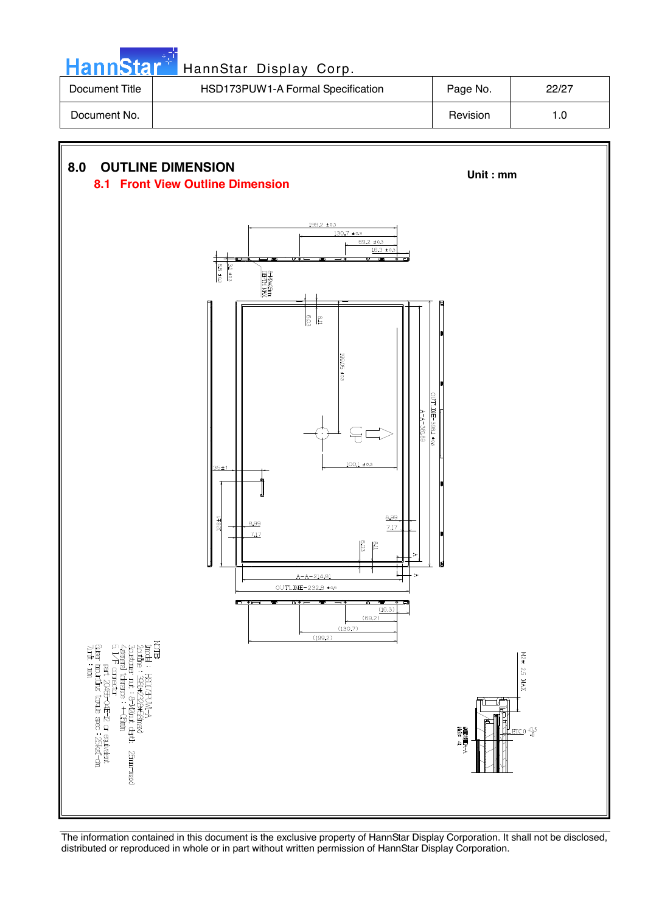|  |  | HannStar |  |
|--|--|----------|--|
|  |  |          |  |
|  |  |          |  |

| Document Title | HSD173PUW1-A Formal Specification | Page No. | 22/27 |
|----------------|-----------------------------------|----------|-------|
| Document No.   |                                   | Revision | 1.0   |

![](_page_21_Figure_3.jpeg)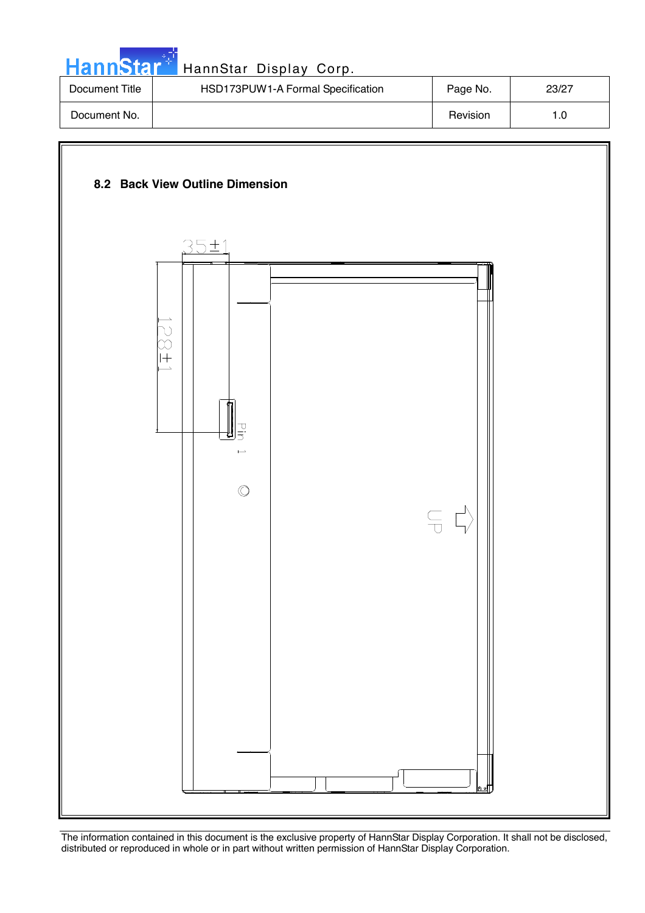| HannStar <sup>*</sup> | HannStar Display Corp.            |          |       |
|-----------------------|-----------------------------------|----------|-------|
| Document Title        | HSD173PUW1-A Formal Specification | Page No. | 23/27 |
| Document No.          |                                   | Revision | 1.0   |

an an Li

![](_page_22_Figure_1.jpeg)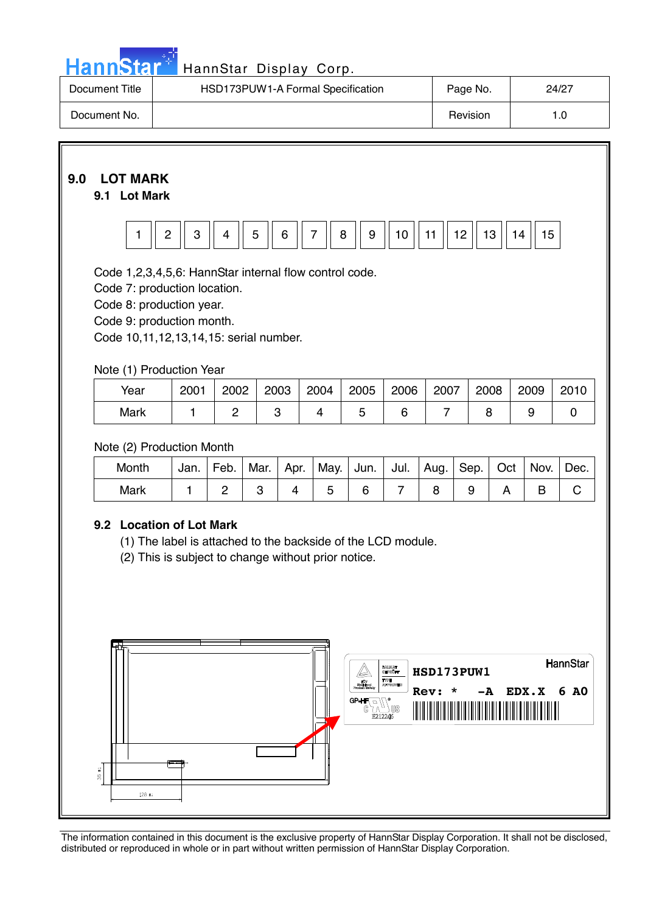|  | <b>HannStar</b> |  |
|--|-----------------|--|

| Document Title | HSD173PUW1-A Formal Specification | Page No. | 24/27 |
|----------------|-----------------------------------|----------|-------|
| Document No.   |                                   | Revision |       |

## **9.0 LOT MARK**

### **9.1 Lot Mark**

![](_page_23_Figure_5.jpeg)

Code 1,2,3,4,5,6: HannStar internal flow control code.

Code 7: production location.

Code 8: production year.

Code 9: production month.

Code 10,11,12,13,14,15: serial number.

#### Note (1) Production Year

| Year | 2001 | 2002 | 2003 | 2004 | 2005 | 2006 | 2007 | 2008 | 2009 | 2010 |
|------|------|------|------|------|------|------|------|------|------|------|
| Mark |      |      |      |      |      |      |      |      |      |      |

#### Note (2) Production Month

| Month | Jan. | Feb. | Mar. | Apr. | May.   Jun.   Jul.   Aug. |  | $ $ Sep. $ $ | Oct | Nov. | $'$ Dec. |
|-------|------|------|------|------|---------------------------|--|--------------|-----|------|----------|
| Mark  |      |      |      |      |                           |  |              |     |      |          |

#### **9.2 Location of Lot Mark**

(1) The label is attached to the backside of the LCD module.

(2) This is subject to change without prior notice.

![](_page_23_Figure_18.jpeg)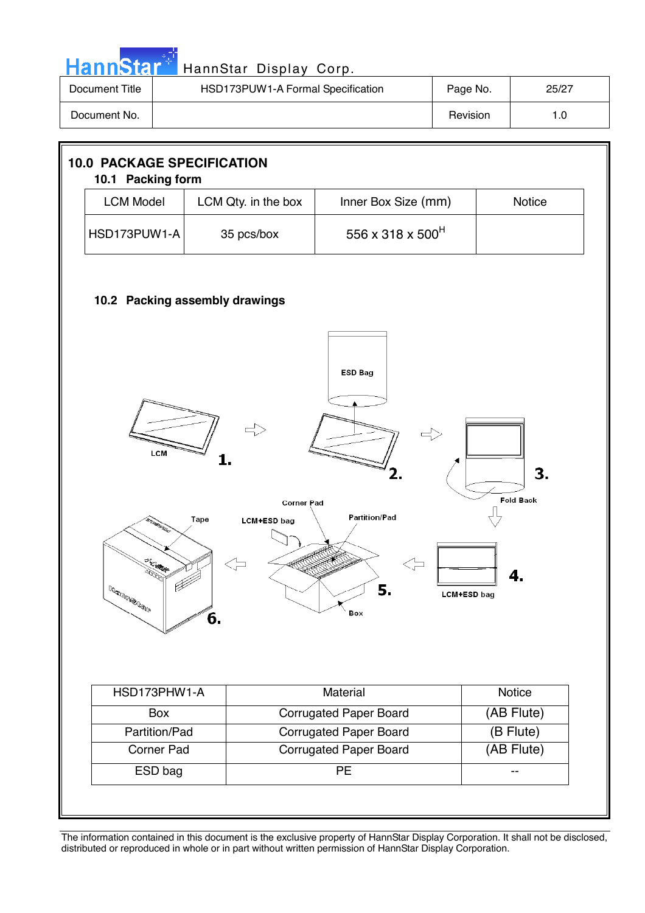| HannStar <sup>+</sup> | HannStar Display Corp.            |          |       |
|-----------------------|-----------------------------------|----------|-------|
| Document Title        | HSD173PUW1-A Formal Specification | Page No. | 25/27 |
| Document No.          |                                   | Revision | 1.0   |

![](_page_24_Figure_1.jpeg)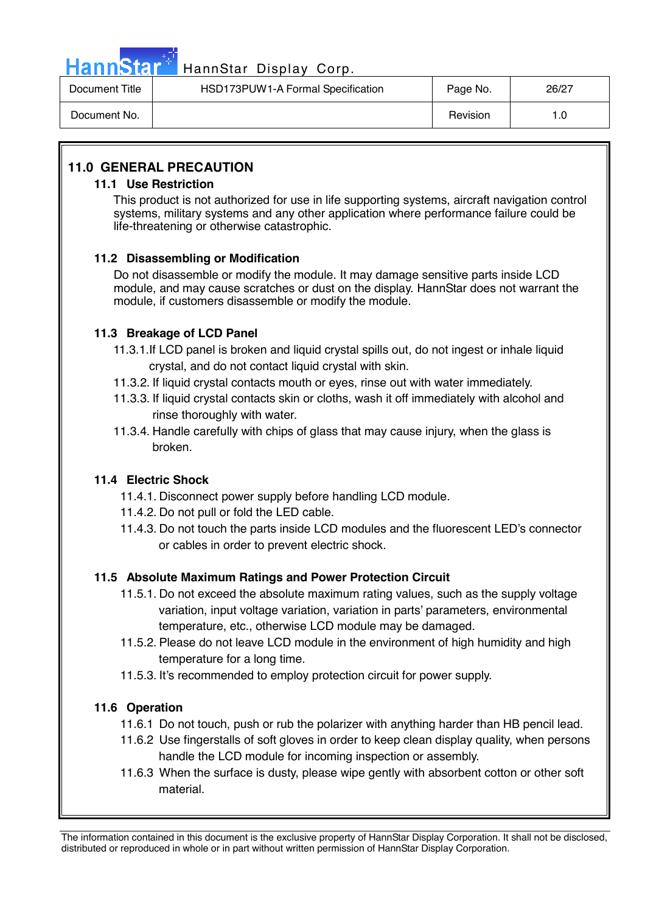![](_page_25_Picture_0.jpeg)

# Hann Star<sup>4</sup> HannStar Display Corp.

| Document Title | HSD173PUW1-A Formal Specification | Page No. | 26/27 |
|----------------|-----------------------------------|----------|-------|
| Document No.   |                                   | Revision |       |

### **11.0 GENERAL PRECAUTION**

#### **11.1 Use Restriction**

This product is not authorized for use in life supporting systems, aircraft navigation control systems, military systems and any other application where performance failure could be life-threatening or otherwise catastrophic.

#### **11.2 Disassembling or Modification**

 Do not disassemble or modify the module. It may damage sensitive parts inside LCD module, and may cause scratches or dust on the display. HannStar does not warrant the module, if customers disassemble or modify the module.

#### **11.3 Breakage of LCD Panel**

- 11.3.1.If LCD panel is broken and liquid crystal spills out, do not ingest or inhale liquid crystal, and do not contact liquid crystal with skin.
- 11.3.2. If liquid crystal contacts mouth or eyes, rinse out with water immediately.
- 11.3.3. If liquid crystal contacts skin or cloths, wash it off immediately with alcohol and rinse thoroughly with water.
- 11.3.4. Handle carefully with chips of glass that may cause injury, when the glass is broken.

#### **11.4 Electric Shock**

- 11.4.1. Disconnect power supply before handling LCD module.
- 11.4.2. Do not pull or fold the LED cable.
- 11.4.3. Do not touch the parts inside LCD modules and the fluorescent LED's connector or cables in order to prevent electric shock.

#### **11.5 Absolute Maximum Ratings and Power Protection Circuit**

- 11.5.1. Do not exceed the absolute maximum rating values, such as the supply voltage variation, input voltage variation, variation in parts' parameters, environmental temperature, etc., otherwise LCD module may be damaged.
- 11.5.2. Please do not leave LCD module in the environment of high humidity and high temperature for a long time.
- 11.5.3. It's recommended to employ protection circuit for power supply.

#### **11.6 Operation**

- 11.6.1 Do not touch, push or rub the polarizer with anything harder than HB pencil lead.
- 11.6.2 Use fingerstalls of soft gloves in order to keep clean display quality, when persons handle the LCD module for incoming inspection or assembly.
- 11.6.3 When the surface is dusty, please wipe gently with absorbent cotton or other soft material.